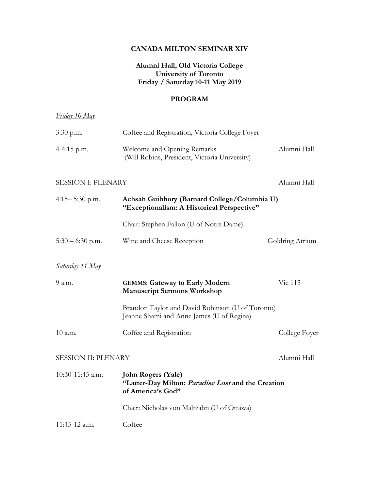#### **CANADA MILTON SEMINAR XIV**

## **Alumni Hall, Old Victoria College University of Toronto Friday / Saturday 10-11 May 2019**

## **PROGRAM**

| <u>Friday 10 May</u>       |                                                                                                      |                 |
|----------------------------|------------------------------------------------------------------------------------------------------|-----------------|
| $3:30$ p.m.                | Coffee and Registration, Victoria College Foyer                                                      |                 |
| 4-4:15 p.m.                | Welcome and Opening Remarks<br>(Will Robins, President, Victoria University)                         | Alumni Hall     |
| <b>SESSION I: PLENARY</b>  |                                                                                                      | Alumni Hall     |
| $4:15 - 5:30$ p.m.         | Achsah Guibbory (Barnard College/Columbia U)<br>"Exceptionalism: A Historical Perspective"           |                 |
|                            | Chair: Stephen Fallon (U of Notre Dame)                                                              |                 |
| $5:30 - 6:30$ p.m.         | Wine and Cheese Reception                                                                            | Goldring Atrium |
| <u>Saturday 11 May</u>     |                                                                                                      |                 |
| 9 a.m.                     | <b>GEMMS: Gateway to Early Modern</b><br><b>Manuscript Sermons Workshop</b>                          | Vic 115         |
|                            | Brandon Taylor and David Robinson (U of Toronto)<br>Jeanne Shami and Anne James (U of Regina)        |                 |
| 10 a.m.                    | Coffee and Registration                                                                              | College Foyer   |
| <b>SESSION II: PLENARY</b> |                                                                                                      | Alumni Hall     |
| 10:30-11:45 a.m.           | <b>John Rogers (Yale)</b><br>"Latter-Day Milton: Paradise Lost and the Creation<br>of America's God" |                 |
|                            | Chair: Nicholas von Maltzahn (U of Ottawa)                                                           |                 |
| 11:45-12 a.m.              | Coffee                                                                                               |                 |
|                            |                                                                                                      |                 |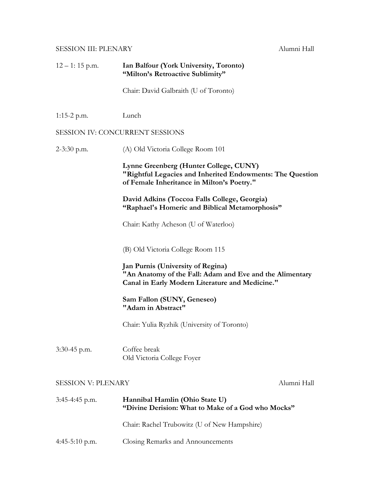# SESSION III: PLENARY Alumni Hall

| $12 - 1$ : 15 p.m.              | Ian Balfour (York University, Toronto)<br>"Milton's Retroactive Sublimity"                                                                              |             |  |  |
|---------------------------------|---------------------------------------------------------------------------------------------------------------------------------------------------------|-------------|--|--|
|                                 | Chair: David Galbraith (U of Toronto)                                                                                                                   |             |  |  |
| $1:15-2$ p.m.                   | Lunch                                                                                                                                                   |             |  |  |
| SESSION IV: CONCURRENT SESSIONS |                                                                                                                                                         |             |  |  |
| $2-3:30$ p.m.                   | (A) Old Victoria College Room 101                                                                                                                       |             |  |  |
|                                 | Lynne Greenberg (Hunter College, CUNY)<br>"Rightful Legacies and Inherited Endowments: The Question<br>of Female Inheritance in Milton's Poetry."       |             |  |  |
|                                 | David Adkins (Toccoa Falls College, Georgia)<br>"Raphael's Homeric and Biblical Metamorphosis"                                                          |             |  |  |
|                                 | Chair: Kathy Acheson (U of Waterloo)                                                                                                                    |             |  |  |
|                                 | (B) Old Victoria College Room 115                                                                                                                       |             |  |  |
|                                 | <b>Jan Purnis (University of Regina)</b><br>"An Anatomy of the Fall: Adam and Eve and the Alimentary<br>Canal in Early Modern Literature and Medicine." |             |  |  |
|                                 | Sam Fallon (SUNY, Geneseo)<br>"Adam in Abstract"                                                                                                        |             |  |  |
|                                 | Chair: Yulia Ryzhik (University of Toronto)                                                                                                             |             |  |  |
| 3:30-45 p.m.                    | Coffee break<br>Old Victoria College Foyer                                                                                                              |             |  |  |
| <b>SESSION V: PLENARY</b>       |                                                                                                                                                         | Alumni Hall |  |  |
| 3:45-4:45 p.m.                  | Hannibal Hamlin (Ohio State U)<br>"Divine Derision: What to Make of a God who Mocks"                                                                    |             |  |  |
|                                 | Chair: Rachel Trubowitz (U of New Hampshire)                                                                                                            |             |  |  |
| $4:45-5:10$ p.m.                | Closing Remarks and Announcements                                                                                                                       |             |  |  |